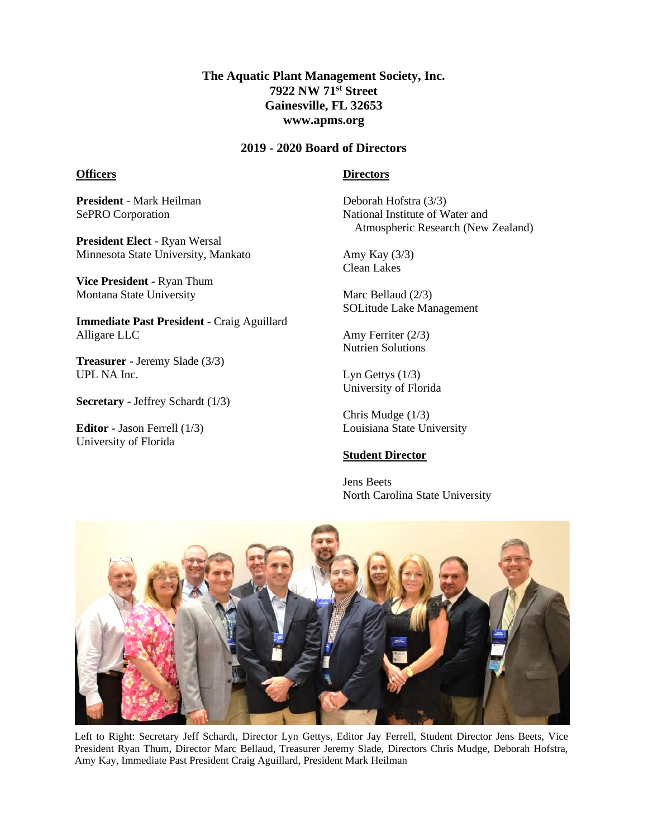## **The Aquatic Plant Management Society, Inc. 7922 NW 71st Street Gainesville, FL 32653 www.apms.org**

#### **2019 - 2020 Board of Directors**

#### **Officers**

#### **Directors**

**President** - Mark Heilman SePRO Corporation

**President Elect** - Ryan Wersal Minnesota State University, Mankato

**Vice President** - Ryan Thum Montana State University

**Immediate Past President** - Craig Aguillard Alligare LLC

**Treasurer** - Jeremy Slade (3/3) UPL NA Inc.

**Secretary** - Jeffrey Schardt (1/3)

**Editor** - Jason Ferrell (1/3) University of Florida

Deborah Hofstra (3/3) National Institute of Water and Atmospheric Research (New Zealand)

Amy Kay (3/3) Clean Lakes

Marc Bellaud (2/3) SOLitude Lake Management

Amy Ferriter (2/3) Nutrien Solutions

Lyn Gettys  $(1/3)$ University of Florida

Chris Mudge (1/3) Louisiana State University

### **Student Director**

Jens Beets North Carolina State University



Left to Right: Secretary Jeff Schardt, Director Lyn Gettys, Editor Jay Ferrell, Student Director Jens Beets, Vice President Ryan Thum, Director Marc Bellaud, Treasurer Jeremy Slade, Directors Chris Mudge, Deborah Hofstra, Amy Kay, Immediate Past President Craig Aguillard, President Mark Heilman